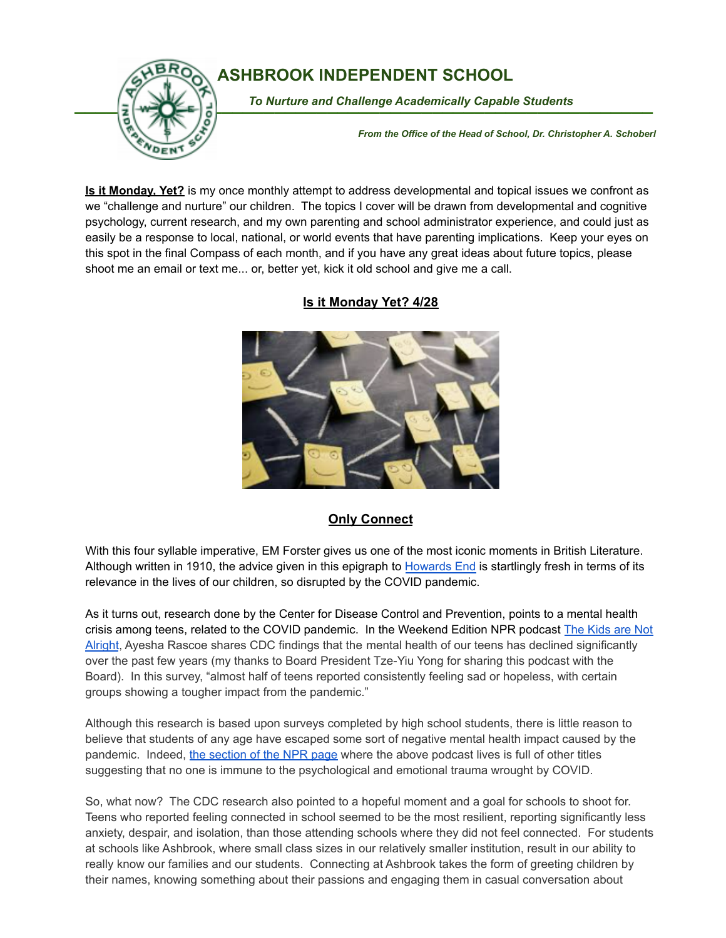

## **ASHBROOK INDEPENDENT SCHOOL**

To Nurture and Challenge Academically Capable Students

*From the Office of the Head of School, Dr. Christopher A. Schoberl*

**Is it Monday, Yet?** is my once monthly attempt to address developmental and topical issues we confront as we "challenge and nurture" our children. The topics I cover will be drawn from developmental and cognitive psychology, current research, and my own parenting and school administrator experience, and could just as easily be a response to local, national, or world events that have parenting implications. Keep your eyes on this spot in the final Compass of each month, and if you have any great ideas about future topics, please shoot me an email or text me... or, better yet, kick it old school and give me a call.



## **Is it Monday Yet? 4/28**

## **Only Connect**

With this four syllable imperative, EM Forster gives us one of the most iconic moments in British Literature. Although written in 1910, the advice given in this epigraph to [Howards](https://www.amazon.com/Howards-End-Classic-Literature-Forster-ebook/dp/B004NIFK9Q) End is startlingly fresh in terms of its relevance in the lives of our children, so disrupted by the COVID pandemic.

As it turns out, research done by the Center for Disease Control and Prevention, points to a mental health crisis among teens, related to the COVID pandemic. In the Weekend Edition NPR podcast The [Kids](https://www.npr.org/2022/04/17/1093240526/cdc-survey-covid-mental-health-teens-school) are Not [Alright](https://www.npr.org/2022/04/17/1093240526/cdc-survey-covid-mental-health-teens-school), Ayesha Rascoe shares CDC findings that the mental health of our teens has declined significantly over the past few years (my thanks to Board President Tze-Yiu Yong for sharing this podcast with the Board). In this survey, "almost half of teens reported consistently feeling sad or hopeless, with certain groups showing a tougher impact from the pandemic."

Although this research is based upon surveys completed by high school students, there is little reason to believe that students of any age have escaped some sort of negative mental health impact caused by the pandemic. Indeed, the [section](https://www.npr.org/sections/mental-health/) of the NPR page where the above podcast lives is full of other titles suggesting that no one is immune to the psychological and emotional trauma wrought by COVID.

So, what now? The CDC research also pointed to a hopeful moment and a goal for schools to shoot for. Teens who reported feeling connected in school seemed to be the most resilient, reporting significantly less anxiety, despair, and isolation, than those attending schools where they did not feel connected. For students at schools like Ashbrook, where small class sizes in our relatively smaller institution, result in our ability to really know our families and our students. Connecting at Ashbrook takes the form of greeting children by their names, knowing something about their passions and engaging them in casual conversation about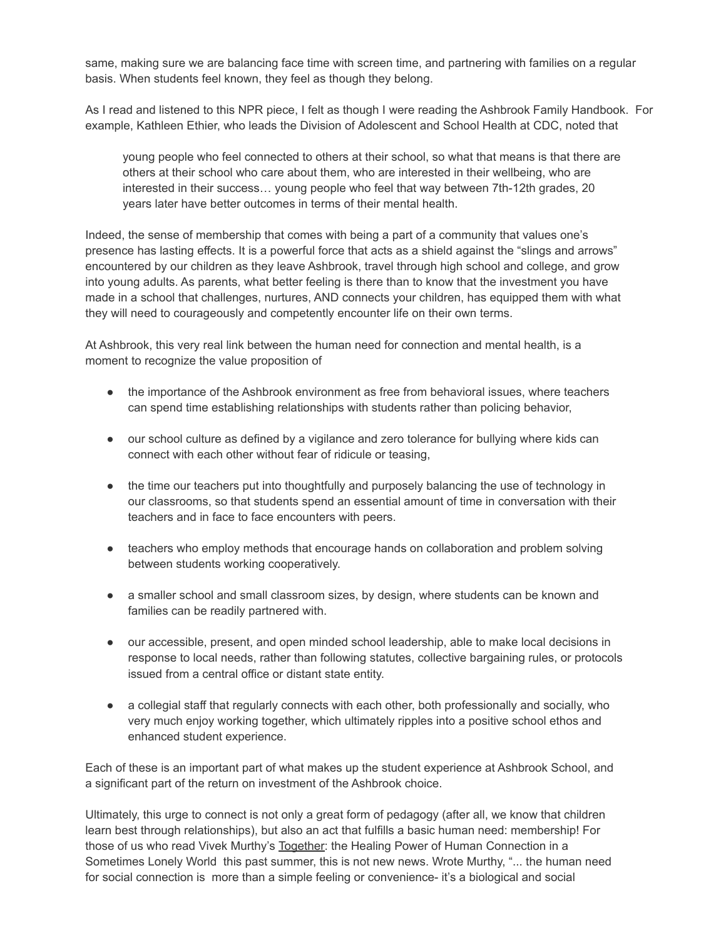same, making sure we are balancing face time with screen time, and partnering with families on a regular basis. When students feel known, they feel as though they belong.

As I read and listened to this NPR piece, I felt as though I were reading the Ashbrook Family Handbook. For example, Kathleen Ethier, who leads the Division of Adolescent and School Health at CDC, noted that

young people who feel connected to others at their school, so what that means is that there are others at their school who care about them, who are interested in their wellbeing, who are interested in their success… young people who feel that way between 7th-12th grades, 20 years later have better outcomes in terms of their mental health.

Indeed, the sense of membership that comes with being a part of a community that values one's presence has lasting effects. It is a powerful force that acts as a shield against the "slings and arrows" encountered by our children as they leave Ashbrook, travel through high school and college, and grow into young adults. As parents, what better feeling is there than to know that the investment you have made in a school that challenges, nurtures, AND connects your children, has equipped them with what they will need to courageously and competently encounter life on their own terms.

At Ashbrook, this very real link between the human need for connection and mental health, is a moment to recognize the value proposition of

- the importance of the Ashbrook environment as free from behavioral issues, where teachers can spend time establishing relationships with students rather than policing behavior,
- our school culture as defined by a vigilance and zero tolerance for bullying where kids can connect with each other without fear of ridicule or teasing,
- the time our teachers put into thoughtfully and purposely balancing the use of technology in our classrooms, so that students spend an essential amount of time in conversation with their teachers and in face to face encounters with peers.
- teachers who employ methods that encourage hands on collaboration and problem solving between students working cooperatively.
- a smaller school and small classroom sizes, by design, where students can be known and families can be readily partnered with.
- our accessible, present, and open minded school leadership, able to make local decisions in response to local needs, rather than following statutes, collective bargaining rules, or protocols issued from a central office or distant state entity.
- a collegial staff that regularly connects with each other, both professionally and socially, who very much enjoy working together, which ultimately ripples into a positive school ethos and enhanced student experience.

Each of these is an important part of what makes up the student experience at Ashbrook School, and a significant part of the return on investment of the Ashbrook choice.

Ultimately, this urge to connect is not only a great form of pedagogy (after all, we know that children learn best through relationships), but also an act that fulfills a basic human need: membership! For those of us who read Vivek Murthy's Together: the Healing Power of Human Connection in a Sometimes Lonely World this past summer, this is not new news. Wrote Murthy, "... the human need for social connection is more than a simple feeling or convenience- it's a biological and social